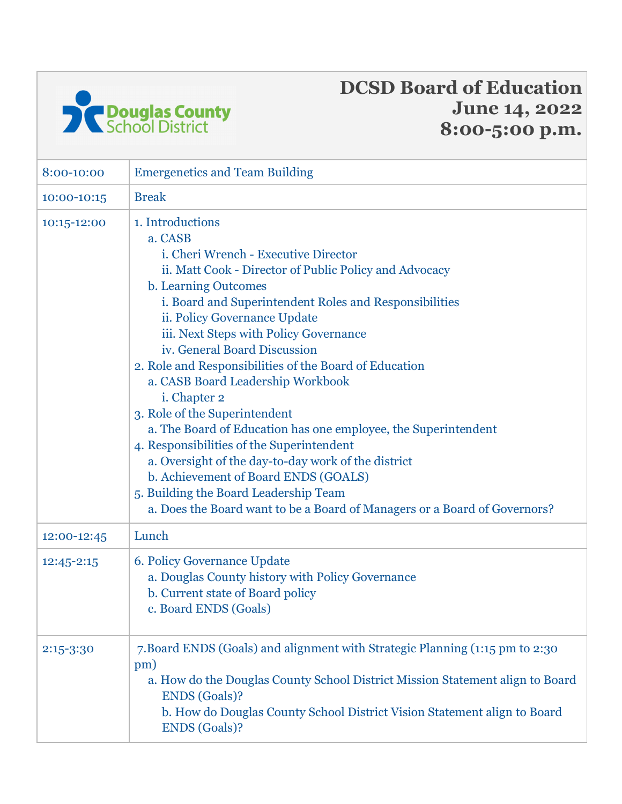

## **DCSD Board of Education June 14, 2022 8:00-5:00 p.m.**

| 8:00-10:00  | <b>Emergenetics and Team Building</b>                                                                                                                                                                                                                                                                                                                                                                                                                                                                                                                                                                                                                                                                                                                                                                         |
|-------------|---------------------------------------------------------------------------------------------------------------------------------------------------------------------------------------------------------------------------------------------------------------------------------------------------------------------------------------------------------------------------------------------------------------------------------------------------------------------------------------------------------------------------------------------------------------------------------------------------------------------------------------------------------------------------------------------------------------------------------------------------------------------------------------------------------------|
| 10:00-10:15 | <b>Break</b>                                                                                                                                                                                                                                                                                                                                                                                                                                                                                                                                                                                                                                                                                                                                                                                                  |
| 10:15-12:00 | 1. Introductions<br>a. CASB<br>i. Cheri Wrench - Executive Director<br>ii. Matt Cook - Director of Public Policy and Advocacy<br>b. Learning Outcomes<br>i. Board and Superintendent Roles and Responsibilities<br>ii. Policy Governance Update<br>iii. Next Steps with Policy Governance<br>iv. General Board Discussion<br>2. Role and Responsibilities of the Board of Education<br>a. CASB Board Leadership Workbook<br>i. Chapter 2<br>3. Role of the Superintendent<br>a. The Board of Education has one employee, the Superintendent<br>4. Responsibilities of the Superintendent<br>a. Oversight of the day-to-day work of the district<br>b. Achievement of Board ENDS (GOALS)<br>5. Building the Board Leadership Team<br>a. Does the Board want to be a Board of Managers or a Board of Governors? |
| 12:00-12:45 | Lunch                                                                                                                                                                                                                                                                                                                                                                                                                                                                                                                                                                                                                                                                                                                                                                                                         |
| 12:45-2:15  | 6. Policy Governance Update<br>a. Douglas County history with Policy Governance<br>b. Current state of Board policy<br>c. Board ENDS (Goals)                                                                                                                                                                                                                                                                                                                                                                                                                                                                                                                                                                                                                                                                  |
| 2:15-3:30   | 7. Board ENDS (Goals) and alignment with Strategic Planning (1:15 pm to 2:30<br>pm)<br>a. How do the Douglas County School District Mission Statement align to Board<br><b>ENDS</b> (Goals)?<br>b. How do Douglas County School District Vision Statement align to Board<br><b>ENDS</b> (Goals)?                                                                                                                                                                                                                                                                                                                                                                                                                                                                                                              |